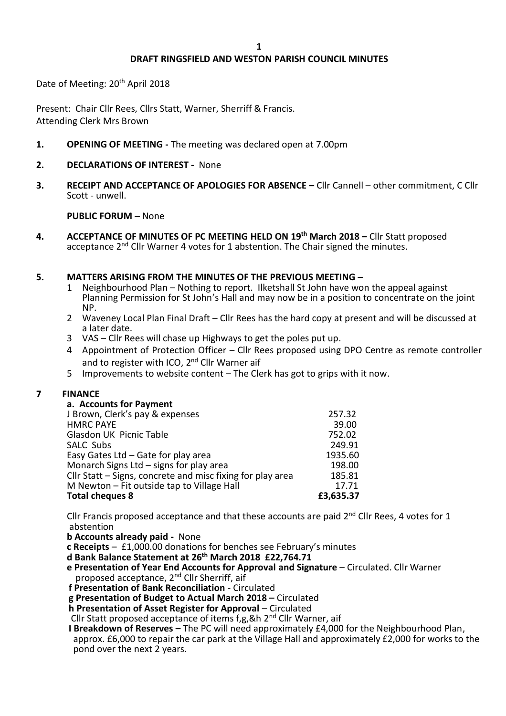# **DRAFT RINGSFIELD AND WESTON PARISH COUNCIL MINUTES**

Date of Meeting: 20<sup>th</sup> April 2018

Present: Chair Cllr Rees, Cllrs Statt, Warner, Sherriff & Francis. Attending Clerk Mrs Brown

- **1. OPENING OF MEETING -** The meeting was declared open at 7.00pm
- **2. DECLARATIONS OF INTEREST** None
- **3. RECEIPT AND ACCEPTANCE OF APOLOGIES FOR ABSENCE –** Cllr Cannell other commitment, C Cllr Scott - unwell.

### **PUBLIC FORUM –** None

**4. ACCEPTANCE OF MINUTES OF PC MEETING HELD ON 19th March 2018 –** Cllr Statt proposed acceptance 2<sup>nd</sup> Cllr Warner 4 votes for 1 abstention. The Chair signed the minutes.

# **5. MATTERS ARISING FROM THE MINUTES OF THE PREVIOUS MEETING –**

- 1 Neighbourhood Plan Nothing to report. Ilketshall St John have won the appeal against Planning Permission for St John's Hall and may now be in a position to concentrate on the joint NP.
- 2 Waveney Local Plan Final Draft Cllr Rees has the hard copy at present and will be discussed at a later date.
- 3 VAS Cllr Rees will chase up Highways to get the poles put up.
- 4 Appointment of Protection Officer Cllr Rees proposed using DPO Centre as remote controller and to register with ICO, 2<sup>nd</sup> Cllr Warner aif
- 5 Improvements to website content The Clerk has got to grips with it now.

# **7 FINANCE**

| a. Accounts for Payment                                    |           |
|------------------------------------------------------------|-----------|
| J Brown, Clerk's pay & expenses                            | 257.32    |
| <b>HMRC PAYE</b>                                           | 39.00     |
| Glasdon UK Picnic Table                                    | 752.02    |
| SALC Subs                                                  | 249.91    |
| Easy Gates Ltd - Gate for play area                        | 1935.60   |
| Monarch Signs Ltd - signs for play area                    | 198.00    |
| Cllr Statt – Signs, concrete and misc fixing for play area | 185.81    |
| M Newton $-$ Fit outside tap to Village Hall               | 17.71     |
| <b>Total cheques 8</b>                                     | £3,635.37 |

Cllr Francis proposed acceptance and that these accounts are paid  $2^{nd}$  Cllr Rees, 4 votes for 1 abstention

**b Accounts already paid -** None

**c Receipts** – £1,000.00 donations for benches see February's minutes

- **d Bank Balance Statement at 26th March 2018 £22,764.71**
- **e Presentation of Year End Accounts for Approval and Signature** Circulated. Cllr Warner proposed acceptance, 2<sup>nd</sup> Cllr Sherriff, aif
- **f Presentation of Bank Reconciliation**  Circulated
- **g Presentation of Budget to Actual March 2018 –** Circulated

**h Presentation of Asset Register for Approval – Circulated** 

Cllr Statt proposed acceptance of items f,g,&h 2nd Cllr Warner, aif

 **I Breakdown of Reserves –** The PC will need approximately £4,000 for the Neighbourhood Plan, approx. £6,000 to repair the car park at the Village Hall and approximately £2,000 for works to the pond over the next 2 years.